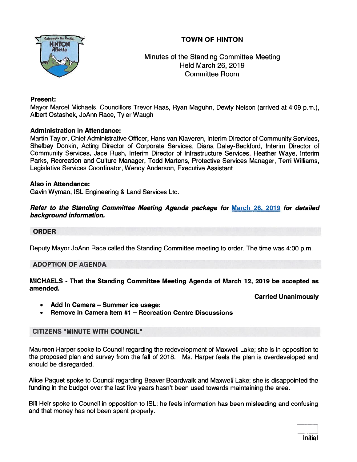# TOWN OF HINTON



Minutes of the Standing Committee Meeting Held March 26, 2019 Committee Room

#### Present:

Mayor Marcel Michaels, Councillors Trevor Haas, Ryan Maguhn, Dewly Nelson (arrived at 4:09 p.m.), Albert Ostashek, JoAnn Race, Tyler Waugh

# Administration in Attendance:

Martin Taylor, Chief Administrative Officer, Hans van Klaveren, Interim Director of Community Services, Shelbey Donkin, Acting Director of Corporate Services, Diana Daley-Beckford, Interim Director of Community Services, Jace Rush, Interim Director of Infrastructure Services, Heather Waye, Interim Parks, Recreation and Culture Manager, Todd Martens, Protective Services Manager, Terri Williams, Legislative Services Coordinator, Wendy Anderson, Executive Assistant

#### Also in Attendance:

Gavin Wyman, ISL Engineering & Land Services Ltd.

#### Refer to the Standing Committee Meeting Agenda package for March 26, 2079 for detailed background information.

# **ORDER**

Deputy Mayor JoAnn Race called the Standing Committee meeting to order. The time was 4:00 p.m.

# ADOPTION OF AGENDA

# MICHAELS - That the Standing Committee Meeting Agenda of March 12, 2019 be accepted as amended.

Carried Unanimously

- •Add In Camera — Summer ice usage:
- •Remove In Camera Item #1 — Recreation Centre Discussions

# CITIZENS 'MINUTE WITH COUNCIL"

Maureen Harper spoke to Council regarding the redevelopment of Maxwell Lake; she is in opposition to the proposed plan and survey from the fall of 2018. Ms. Harper feels the plan is overdeveloped and should be disregarded.

Alice Paquet spoke to Council regarding Beaver Boardwalk and Maxwell Lake; she is disappointed the funding in the budget over the last five years hasn't been used towards maintaining the area.

Bill Heir spoke to Council in opposition to ISL; he feels information has been misleading and confusing and that money has not been spen<sup>t</sup> properly.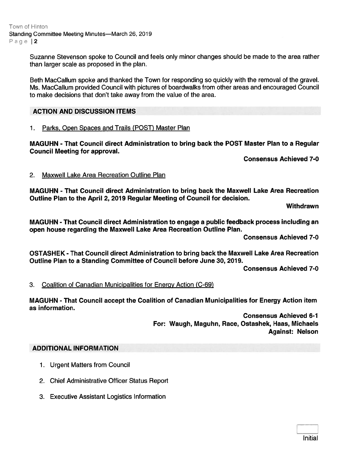Town of Hinton Standing Committee Meeting Minutes—March 26, 2019 Page | 2

> Suzanne Stevenson spoke to Council and feels only minor changes should be made to the area rather than larger scale as proposed in the plan.

> Beth MacCallum spoke and thanked the Town for responding so quickly with the removal of the gravel. Ms. MacCallum provided Council with pictures of boardwalks from other areas and encouraged Council to make decisions that don't take away from the value of the area.

# ACTION AND DISCUSSION ITEMS

#### 1. Parks, Open Spaces and Trails (POST) Master Plan

MAGUHN - That Council direct Administration to bring back the POST Master Plan to <sup>a</sup> Regular Council Meeting for approval.

Consensus Achieved 7-0

#### 2. Maxwell Lake Area Recreation Outline Plan

MAGUHN - That Council direct Administration to bring back the Maxwell Lake Area Recreation Outline Plan to the April 2, 2079 Regular Meeting of Council for decision.

**Withdrawn** 

MAGUHN - That Council direct Administration to engage <sup>a</sup> public feedback process including an open house regarding the Maxwell Lake Area Recreation Outline Plan.

Consensus Achieved 7-0

OSTASHEK - That Council direct Administration to bring back the Maxwell Lake Area Recreation Outline Plan to <sup>a</sup> Standing Committee of Council before June 30, 2079.

Consensus Achieved 7-0

3. Coalition of Canadian Municipalities for Energy Action (C-69)

MAGUHN - That Council accep<sup>t</sup> the Coalition of Canadian Municipalities for Energy Action item as information.

> Consensus Achieved 6-1 For: Waugh, Maguhn, Race, Ostashek, Haas, Michaels Against: Nelson

# ADDITIONAL INFORMATION

- 1. Urgent Matters from Council
- 2. Chief Administrative Officer Status Report
- 3. Executive Assistant Logistics Information